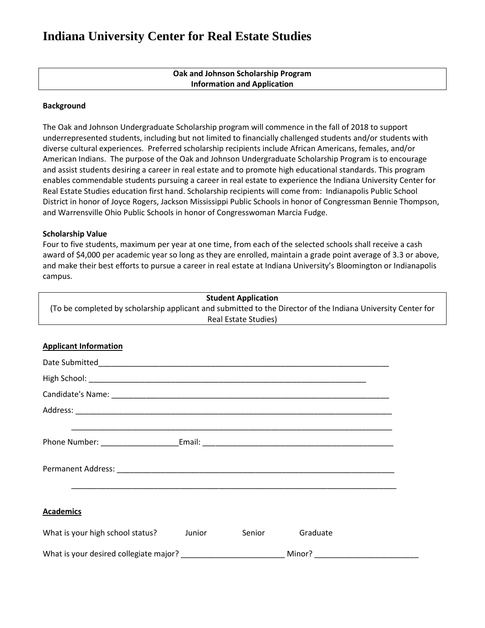# **Indiana University Center for Real Estate Studies**

| Oak and Johnson Scholarship Program |  |
|-------------------------------------|--|
| <b>Information and Application</b>  |  |

#### **Background**

The Oak and Johnson Undergraduate Scholarship program will commence in the fall of 2018 to support underrepresented students, including but not limited to financially challenged students and/or students with diverse cultural experiences. Preferred scholarship recipients include African Americans, females, and/or American Indians. The purpose of the Oak and Johnson Undergraduate Scholarship Program is to encourage and assist students desiring a career in real estate and to promote high educational standards. This program enables commendable students pursuing a career in real estate to experience the Indiana University Center for Real Estate Studies education first hand. Scholarship recipients will come from: Indianapolis Public School District in honor of Joyce Rogers, Jackson Mississippi Public Schools in honor of Congressman Bennie Thompson, and Warrensville Ohio Public Schools in honor of Congresswoman Marcia Fudge.

#### **Scholarship Value**

Four to five students, maximum per year at one time, from each of the selected schools shall receive a cash award of \$4,000 per academic year so long as they are enrolled, maintain a grade point average of 3.3 or above, and make their best efforts to pursue a career in real estate at Indiana University's Bloomington or Indianapolis campus.

|                                  | <b>Student Application</b>                                                                                                           |
|----------------------------------|--------------------------------------------------------------------------------------------------------------------------------------|
|                                  | (To be completed by scholarship applicant and submitted to the Director of the Indiana University Center for<br>Real Estate Studies) |
|                                  |                                                                                                                                      |
| <b>Applicant Information</b>     |                                                                                                                                      |
|                                  |                                                                                                                                      |
|                                  |                                                                                                                                      |
|                                  |                                                                                                                                      |
|                                  |                                                                                                                                      |
|                                  | <u> 1989 - Johann Stoff, amerikansk politiker (d. 1989)</u>                                                                          |
|                                  |                                                                                                                                      |
| <b>Academics</b>                 | <u> 1989 - Johann Stoff, amerikansk politiker (d. 1989)</u>                                                                          |
| What is your high school status? | Junior<br>Senior<br>Graduate                                                                                                         |
|                                  | What is your desired collegiate major? _________________________________Minor? _______________________________                       |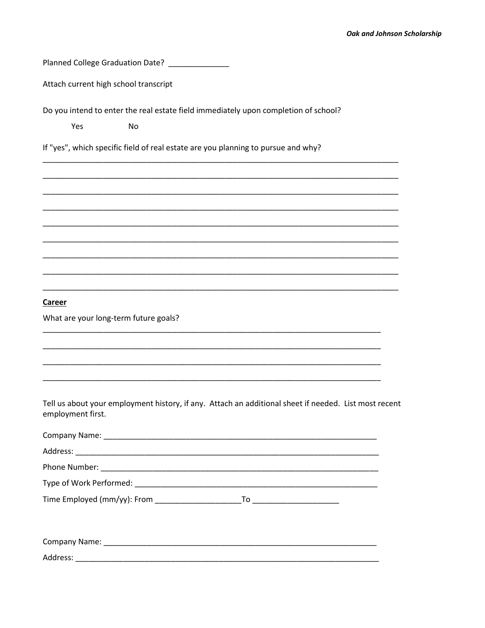Planned College Graduation Date? \_\_\_\_\_\_\_\_\_\_\_\_\_\_

**No** 

Attach current high school transcript

Do you intend to enter the real estate field immediately upon completion of school?

Yes

If "yes", which specific field of real estate are you planning to pursue and why?

**Career** 

What are your long-term future goals?

Tell us about your employment history, if any. Attach an additional sheet if needed. List most recent employment first.

| Time Employed (mm/yy): From | To ____________________________ |  |
|-----------------------------|---------------------------------|--|
|                             |                                 |  |
|                             |                                 |  |
|                             |                                 |  |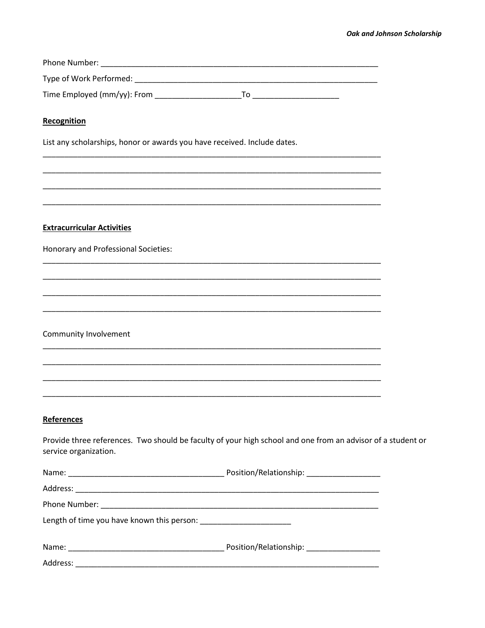| Recognition                                                                                                                          |  |
|--------------------------------------------------------------------------------------------------------------------------------------|--|
| List any scholarships, honor or awards you have received. Include dates.                                                             |  |
|                                                                                                                                      |  |
|                                                                                                                                      |  |
|                                                                                                                                      |  |
| <b>Extracurricular Activities</b>                                                                                                    |  |
| Honorary and Professional Societies:                                                                                                 |  |
|                                                                                                                                      |  |
|                                                                                                                                      |  |
|                                                                                                                                      |  |
| Community Involvement                                                                                                                |  |
|                                                                                                                                      |  |
|                                                                                                                                      |  |
|                                                                                                                                      |  |
| References                                                                                                                           |  |
| Provide three references. Two should be faculty of your high school and one from an advisor of a student or<br>service organization. |  |
|                                                                                                                                      |  |
|                                                                                                                                      |  |
|                                                                                                                                      |  |
|                                                                                                                                      |  |